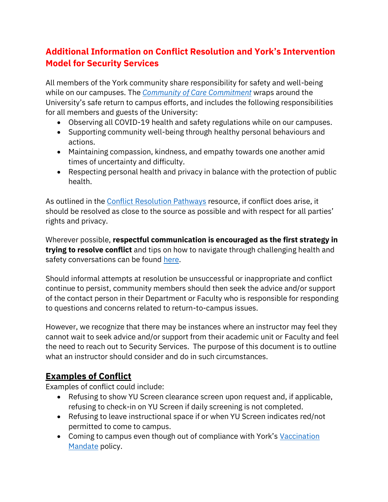## **Additional Information on Conflict Resolution and York's Intervention Model for Security Services**

All members of the York community share responsibility for safety and well-being while on our campuses. The *[Community of Care](https://www.yorku.ca/bettertogether/wp-content/uploads/sites/299/2021/08/21-08-09-Conflict-Resolution-Return-to-Campus-2021-8-August-2021.pdf) Commitment* wraps around the University's safe return to campus efforts, and includes the following responsibilities for all members and guests of the University:

- Observing all COVID-19 health and safety regulations while on our campuses.
- Supporting community well-being through healthy personal behaviours and actions.
- Maintaining compassion, kindness, and empathy towards one another amid times of uncertainty and difficulty.
- Respecting personal health and privacy in balance with the protection of public health.

As outlined in the [Conflict Resolution Pathways](https://www.yorku.ca/bettertogether/wp-content/uploads/sites/299/2022/01/Conflict-Resolution-Pathways-Return-to-Campus-Winter-2022-.pdf) resource, if conflict does arise, it should be resolved as close to the source as possible and with respect for all parties' rights and privacy.

Wherever possible, **respectful communication is encouraged as the first strategy in trying to resolve conflict** and tips on how to navigate through challenging health and safety conversations can be found [here.](https://www.yorku.ca/bettertogether/wp-content/uploads/sites/299/2022/02/22-02-02-Follow-these-tips-UPDATED-V4.pdf)

Should informal attempts at resolution be unsuccessful or inappropriate and conflict continue to persist, community members should then seek the advice and/or support of the contact person in their Department or Faculty who is responsible for responding to questions and concerns related to return-to-campus issues.

However, we recognize that there may be instances where an instructor may feel they cannot wait to seek advice and/or support from their academic unit or Faculty and feel the need to reach out to Security Services. The purpose of this document is to outline what an instructor should consider and do in such circumstances.

#### **Examples of Conflict**

Examples of conflict could include:

- Refusing to show YU Screen clearance screen upon request and, if applicable, refusing to check-in on YU Screen if daily screening is not completed.
- Refusing to leave instructional space if or when YU Screen indicates red/not permitted to come to campus.
- Coming to campus even though out of compliance with York's Vaccination [Mandate](https://www.yorku.ca/secretariat/policies/policies/covid-19-vaccination-mandate/) policy.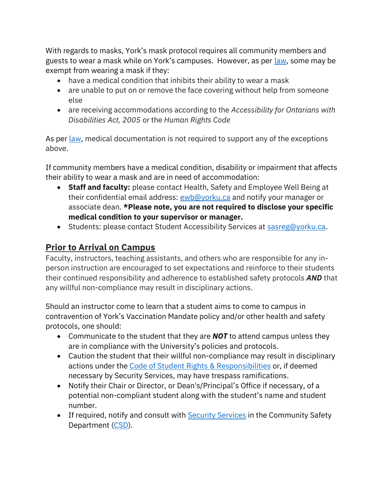With regards to masks, York's mask protocol requires all community members and guests to wear a mask while on York's campuses. However, as per <u>law</u>, some may be exempt from wearing a mask if they:

- have a medical condition that inhibits their ability to wear a mask
- are unable to put on or remove the face covering without help from someone else
- are receiving accommodations according to the *Accessibility for Ontarians with Disabilities Act, 2005* or the *Human Rights Code*

As per [law,](https://www.toronto.ca/legdocs/bylaws/2020/law0541.pdf) medical documentation is not required to support any of the exceptions above.

If community members have a medical condition, disability or impairment that affects their ability to wear a mask and are in need of accommodation:

- **Staff and faculty:** please contact Health, Safety and Employee Well Being at their confidential email address: [ewb@yorku.ca](mailto:ewb@yorku.ca) and notify your manager or associate dean. **\*Please note, you are not required to disclose your specific medical condition to your supervisor or manager.**
- Students: please contact Student Accessibility Services at [sasreg@yorku.ca.](mailto:sasreg@yorku.ca)

# **Prior to Arrival on Campus**

Faculty, instructors, teaching assistants, and others who are responsible for any inperson instruction are encouraged to set expectations and reinforce to their students their continued responsibility and adherence to established safety protocols *AND* that any willful non-compliance may result in disciplinary actions.

Should an instructor come to learn that a student aims to come to campus in contravention of York's Vaccination Mandate policy and/or other health and safety protocols, one should:

- Communicate to the student that they are *NOT* to attend campus unless they are in compliance with the University's policies and protocols.
- Caution the student that their willful non-compliance may result in disciplinary actions under the [Code of Student Rights & Responsibilities](https://oscr.students.yorku.ca/student-conduct) or, if deemed necessary by Security Services, may have trespass ramifications.
- Notify their Chair or Director, or Dean's/Principal's Office if necessary, of a potential non-compliant student along with the student's name and student number.
- If required, notify and consult with [Security Services](https://www.yorku.ca/safety/how-to-report/non-urgent-safety-matters/) in the Community Safety Department [\(CSD\)](https://www.yorku.ca/safety/).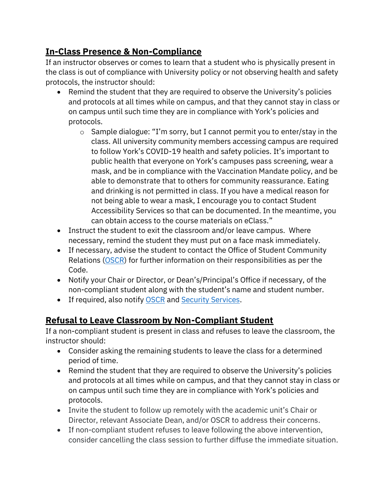## **In-Class Presence & Non-Compliance**

If an instructor observes or comes to learn that a student who is physically present in the class is out of compliance with University policy or not observing health and safety protocols, the instructor should:

- Remind the student that they are required to observe the University's policies and protocols at all times while on campus, and that they cannot stay in class or on campus until such time they are in compliance with York's policies and protocols.
	- o Sample dialogue: "I'm sorry, but I cannot permit you to enter/stay in the class. All university community members accessing campus are required to follow York's COVID-19 health and safety policies. It's important to public health that everyone on York's campuses pass screening, wear a mask, and be in compliance with the Vaccination Mandate policy, and be able to demonstrate that to others for community reassurance. Eating and drinking is not permitted in class. If you have a medical reason for not being able to wear a mask, I encourage you to contact Student Accessibility Services so that can be documented. In the meantime, you can obtain access to the course materials on eClass."
- Instruct the student to exit the classroom and/or leave campus. Where necessary, remind the student they must put on a face mask immediately.
- If necessary, advise the student to contact the Office of Student Community Relations [\(OSCR\)](https://oscr.students.yorku.ca/) for further information on their responsibilities as per the Code.
- Notify your Chair or Director, or Dean's/Principal's Office if necessary, of the non-compliant student along with the student's name and student number.
- If required, also notify [OSCR](https://oscr.students.yorku.ca/oscr-contact) and [Security Services.](https://www.yorku.ca/safety/how-to-report/non-urgent-safety-matters/)

### **Refusal to Leave Classroom by Non-Compliant Student**

If a non-compliant student is present in class and refuses to leave the classroom, the instructor should:

- Consider asking the remaining students to leave the class for a determined period of time.
- Remind the student that they are required to observe the University's policies and protocols at all times while on campus, and that they cannot stay in class or on campus until such time they are in compliance with York's policies and protocols.
- Invite the student to follow up remotely with the academic unit's Chair or Director, relevant Associate Dean, and/or OSCR to address their concerns.
- If non-compliant student refuses to leave following the above intervention, consider cancelling the class session to further diffuse the immediate situation.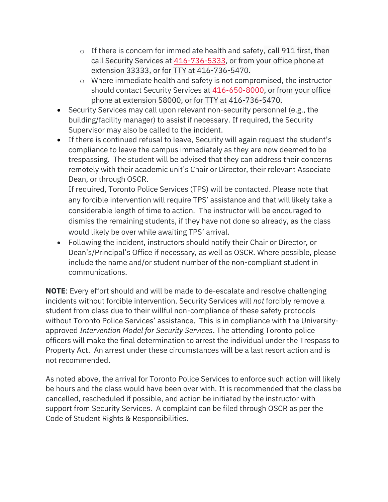- $\circ$  If there is concern for immediate health and safety, call 911 first, then call Security Services at [416-736-5333,](tel:+14167365333) or from your office phone at extension 33333, or for TTY at 416-736-5470.
- o Where immediate health and safety is not compromised, the instructor should contact Security Services at [416-650-8000,](tel:+14166508000) or from your office phone at extension 58000, or for TTY at 416-736-5470.
- Security Services may call upon relevant non-security personnel (e.g., the building/facility manager) to assist if necessary. If required, the Security Supervisor may also be called to the incident.
- If there is continued refusal to leave, Security will again request the student's compliance to leave the campus immediately as they are now deemed to be trespassing. The student will be advised that they can address their concerns remotely with their academic unit's Chair or Director, their relevant Associate Dean, or through OSCR.

If required, Toronto Police Services (TPS) will be contacted. Please note that any forcible intervention will require TPS' assistance and that will likely take a considerable length of time to action. The instructor will be encouraged to dismiss the remaining students, if they have not done so already, as the class would likely be over while awaiting TPS' arrival.

• Following the incident, instructors should notify their Chair or Director, or Dean's/Principal's Office if necessary, as well as OSCR. Where possible, please include the name and/or student number of the non-compliant student in communications.

**NOTE**: Every effort should and will be made to de-escalate and resolve challenging incidents without forcible intervention. Security Services will *not* forcibly remove a student from class due to their willful non-compliance of these safety protocols without Toronto Police Services' assistance. This is in compliance with the Universityapproved *Intervention Model for Security Services*. The attending Toronto police officers will make the final determination to arrest the individual under the Trespass to Property Act. An arrest under these circumstances will be a last resort action and is not recommended.

As noted above, the arrival for Toronto Police Services to enforce such action will likely be hours and the class would have been over with. It is recommended that the class be cancelled, rescheduled if possible, and action be initiated by the instructor with support from Security Services. A complaint can be filed through OSCR as per the Code of Student Rights & Responsibilities.